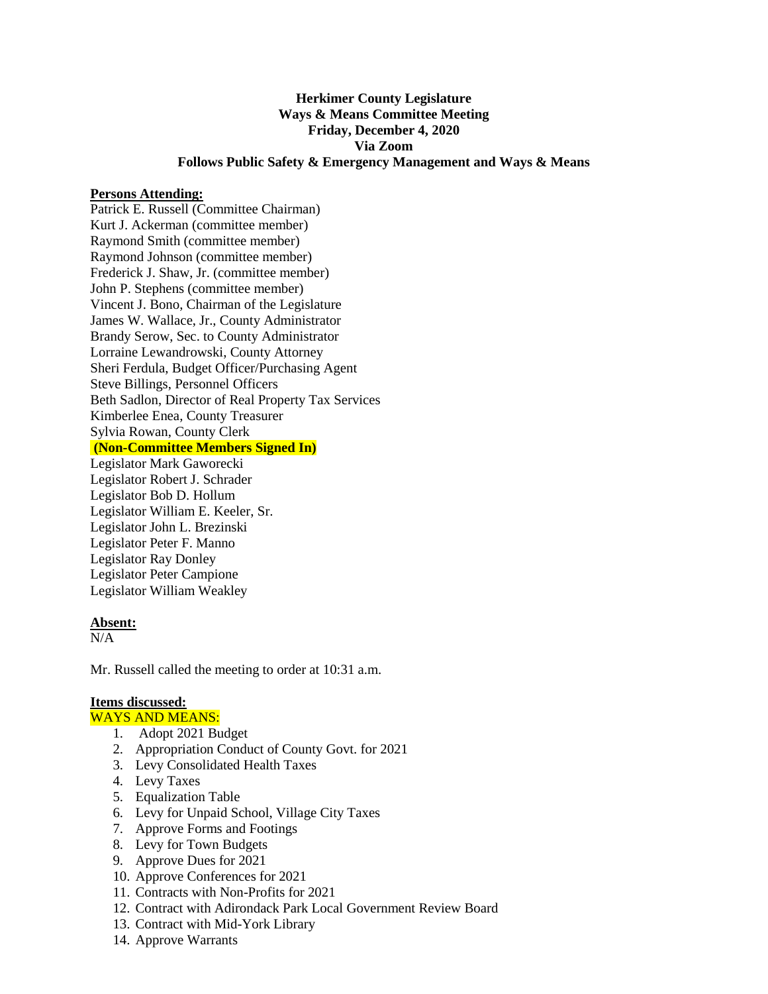# **Herkimer County Legislature Ways & Means Committee Meeting Friday, December 4, 2020 Via Zoom Follows Public Safety & Emergency Management and Ways & Means**

#### **Persons Attending:**

Patrick E. Russell (Committee Chairman) Kurt J. Ackerman (committee member) Raymond Smith (committee member) Raymond Johnson (committee member) Frederick J. Shaw, Jr. (committee member) John P. Stephens (committee member) Vincent J. Bono, Chairman of the Legislature James W. Wallace, Jr., County Administrator Brandy Serow, Sec. to County Administrator Lorraine Lewandrowski, County Attorney Sheri Ferdula, Budget Officer/Purchasing Agent Steve Billings, Personnel Officers Beth Sadlon, Director of Real Property Tax Services Kimberlee Enea, County Treasurer Sylvia Rowan, County Clerk **(Non-Committee Members Signed In)** Legislator Mark Gaworecki Legislator Robert J. Schrader Legislator Bob D. Hollum Legislator William E. Keeler, Sr. Legislator John L. Brezinski Legislator Peter F. Manno Legislator Ray Donley Legislator Peter Campione Legislator William Weakley

# **Absent:**

N/A

Mr. Russell called the meeting to order at 10:31 a.m.

## **Items discussed:**

WAYS AND MEANS:

- 1. Adopt 2021 Budget
- 2. Appropriation Conduct of County Govt. for 2021
- 3. Levy Consolidated Health Taxes
- 4. Levy Taxes
- 5. Equalization Table
- 6. Levy for Unpaid School, Village City Taxes
- 7. Approve Forms and Footings
- 8. Levy for Town Budgets
- 9. Approve Dues for 2021
- 10. Approve Conferences for 2021
- 11. Contracts with Non-Profits for 2021
- 12. Contract with Adirondack Park Local Government Review Board
- 13. Contract with Mid-York Library
- 14. Approve Warrants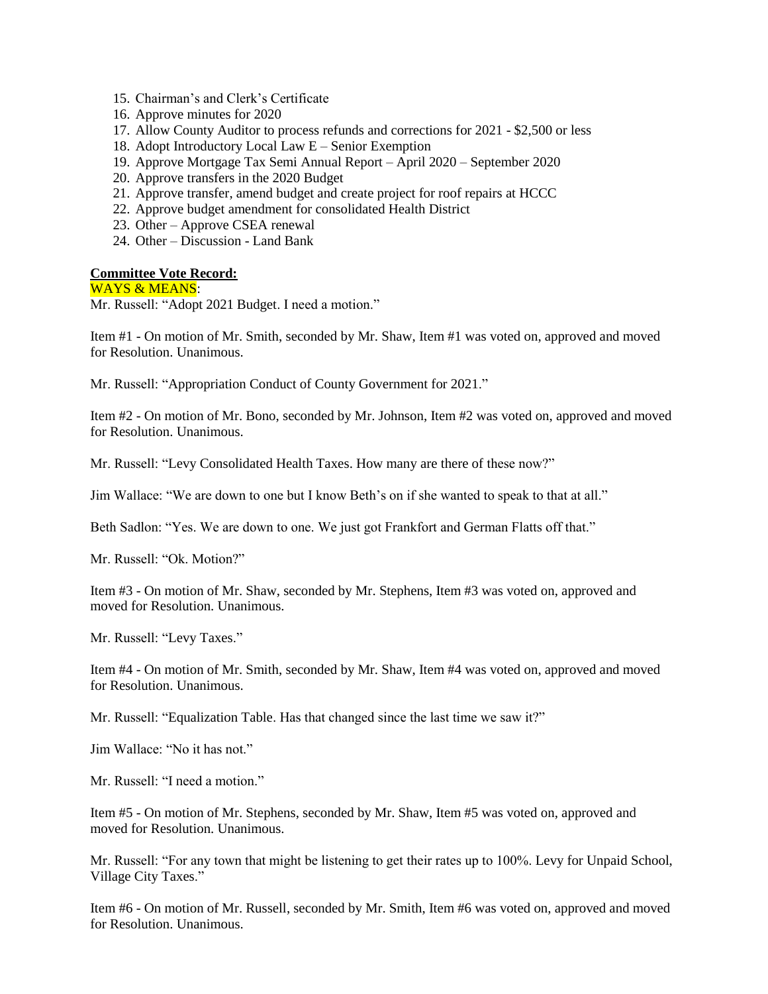- 15. Chairman's and Clerk's Certificate
- 16. Approve minutes for 2020
- 17. Allow County Auditor to process refunds and corrections for 2021 \$2,500 or less
- 18. Adopt Introductory Local Law E Senior Exemption
- 19. Approve Mortgage Tax Semi Annual Report April 2020 September 2020
- 20. Approve transfers in the 2020 Budget
- 21. Approve transfer, amend budget and create project for roof repairs at HCCC
- 22. Approve budget amendment for consolidated Health District
- 23. Other Approve CSEA renewal
- 24. Other Discussion Land Bank

### **Committee Vote Record:**

### WAYS & MEANS:

Mr. Russell: "Adopt 2021 Budget. I need a motion."

Item #1 - On motion of Mr. Smith, seconded by Mr. Shaw, Item #1 was voted on, approved and moved for Resolution. Unanimous.

Mr. Russell: "Appropriation Conduct of County Government for 2021."

Item #2 - On motion of Mr. Bono, seconded by Mr. Johnson, Item #2 was voted on, approved and moved for Resolution. Unanimous.

Mr. Russell: "Levy Consolidated Health Taxes. How many are there of these now?"

Jim Wallace: "We are down to one but I know Beth's on if she wanted to speak to that at all."

Beth Sadlon: "Yes. We are down to one. We just got Frankfort and German Flatts off that."

Mr. Russell: "Ok. Motion?"

Item #3 - On motion of Mr. Shaw, seconded by Mr. Stephens, Item #3 was voted on, approved and moved for Resolution. Unanimous.

Mr. Russell: "Levy Taxes."

Item #4 - On motion of Mr. Smith, seconded by Mr. Shaw, Item #4 was voted on, approved and moved for Resolution. Unanimous.

Mr. Russell: "Equalization Table. Has that changed since the last time we saw it?"

Jim Wallace: "No it has not."

Mr. Russell: "I need a motion."

Item #5 - On motion of Mr. Stephens, seconded by Mr. Shaw, Item #5 was voted on, approved and moved for Resolution. Unanimous.

Mr. Russell: "For any town that might be listening to get their rates up to 100%. Levy for Unpaid School, Village City Taxes."

Item #6 - On motion of Mr. Russell, seconded by Mr. Smith, Item #6 was voted on, approved and moved for Resolution. Unanimous.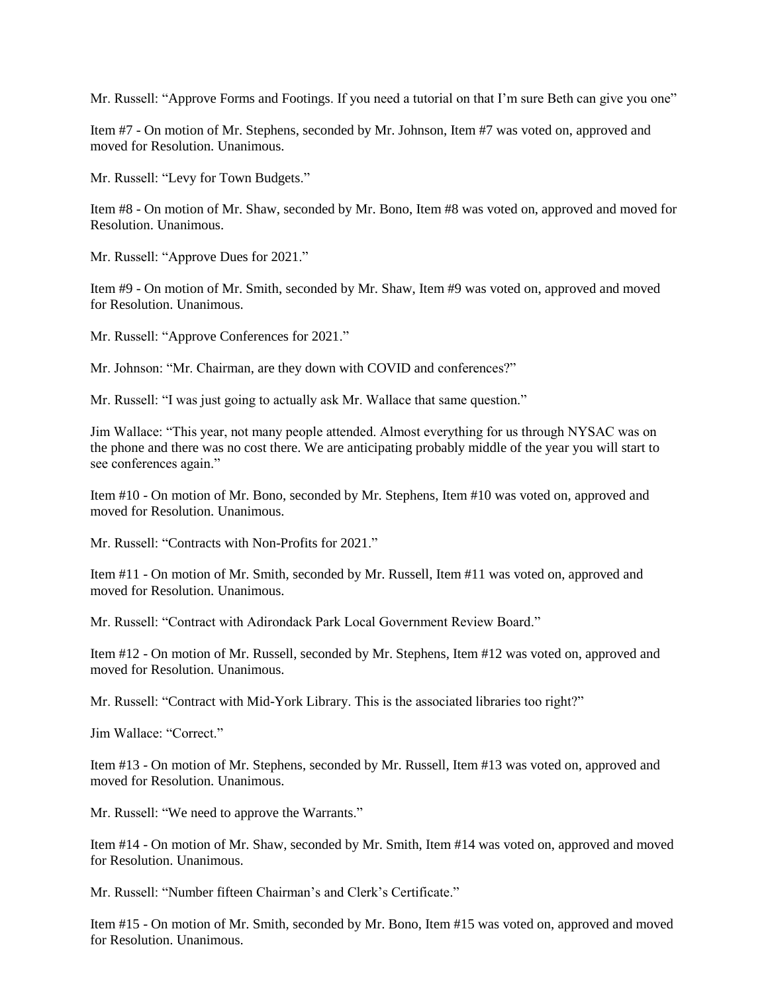Mr. Russell: "Approve Forms and Footings. If you need a tutorial on that I'm sure Beth can give you one"

Item #7 - On motion of Mr. Stephens, seconded by Mr. Johnson, Item #7 was voted on, approved and moved for Resolution. Unanimous.

Mr. Russell: "Levy for Town Budgets."

Item #8 - On motion of Mr. Shaw, seconded by Mr. Bono, Item #8 was voted on, approved and moved for Resolution. Unanimous.

Mr. Russell: "Approve Dues for 2021."

Item #9 - On motion of Mr. Smith, seconded by Mr. Shaw, Item #9 was voted on, approved and moved for Resolution. Unanimous.

Mr. Russell: "Approve Conferences for 2021."

Mr. Johnson: "Mr. Chairman, are they down with COVID and conferences?"

Mr. Russell: "I was just going to actually ask Mr. Wallace that same question."

Jim Wallace: "This year, not many people attended. Almost everything for us through NYSAC was on the phone and there was no cost there. We are anticipating probably middle of the year you will start to see conferences again."

Item #10 - On motion of Mr. Bono, seconded by Mr. Stephens, Item #10 was voted on, approved and moved for Resolution. Unanimous.

Mr. Russell: "Contracts with Non-Profits for 2021."

Item #11 - On motion of Mr. Smith, seconded by Mr. Russell, Item #11 was voted on, approved and moved for Resolution. Unanimous.

Mr. Russell: "Contract with Adirondack Park Local Government Review Board."

Item #12 - On motion of Mr. Russell, seconded by Mr. Stephens, Item #12 was voted on, approved and moved for Resolution. Unanimous.

Mr. Russell: "Contract with Mid-York Library. This is the associated libraries too right?"

Jim Wallace: "Correct."

Item #13 - On motion of Mr. Stephens, seconded by Mr. Russell, Item #13 was voted on, approved and moved for Resolution. Unanimous.

Mr. Russell: "We need to approve the Warrants."

Item #14 - On motion of Mr. Shaw, seconded by Mr. Smith, Item #14 was voted on, approved and moved for Resolution. Unanimous.

Mr. Russell: "Number fifteen Chairman's and Clerk's Certificate."

Item #15 - On motion of Mr. Smith, seconded by Mr. Bono, Item #15 was voted on, approved and moved for Resolution. Unanimous.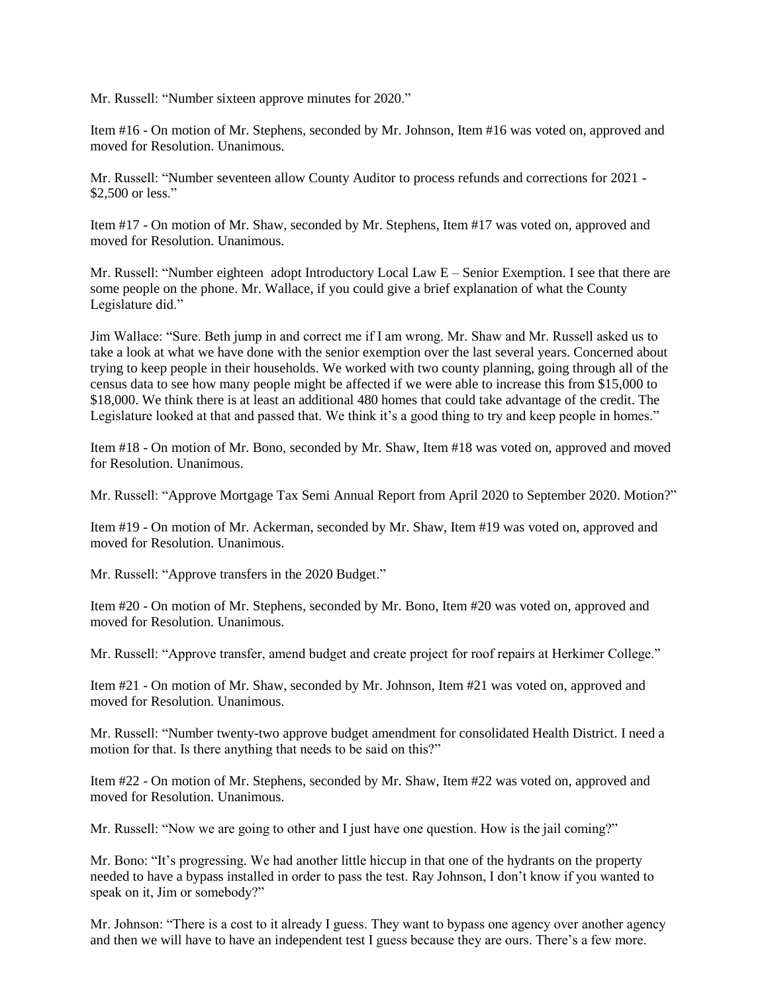Mr. Russell: "Number sixteen approve minutes for 2020."

Item #16 - On motion of Mr. Stephens, seconded by Mr. Johnson, Item #16 was voted on, approved and moved for Resolution. Unanimous.

Mr. Russell: "Number seventeen allow County Auditor to process refunds and corrections for 2021 - \$2,500 or less."

Item #17 - On motion of Mr. Shaw, seconded by Mr. Stephens, Item #17 was voted on, approved and moved for Resolution. Unanimous.

Mr. Russell: "Number eighteen adopt Introductory Local Law E – Senior Exemption. I see that there are some people on the phone. Mr. Wallace, if you could give a brief explanation of what the County Legislature did."

Jim Wallace: "Sure. Beth jump in and correct me if I am wrong. Mr. Shaw and Mr. Russell asked us to take a look at what we have done with the senior exemption over the last several years. Concerned about trying to keep people in their households. We worked with two county planning, going through all of the census data to see how many people might be affected if we were able to increase this from \$15,000 to \$18,000. We think there is at least an additional 480 homes that could take advantage of the credit. The Legislature looked at that and passed that. We think it's a good thing to try and keep people in homes."

Item #18 - On motion of Mr. Bono, seconded by Mr. Shaw, Item #18 was voted on, approved and moved for Resolution. Unanimous.

Mr. Russell: "Approve Mortgage Tax Semi Annual Report from April 2020 to September 2020. Motion?"

Item #19 - On motion of Mr. Ackerman, seconded by Mr. Shaw, Item #19 was voted on, approved and moved for Resolution. Unanimous.

Mr. Russell: "Approve transfers in the 2020 Budget."

Item #20 - On motion of Mr. Stephens, seconded by Mr. Bono, Item #20 was voted on, approved and moved for Resolution. Unanimous.

Mr. Russell: "Approve transfer, amend budget and create project for roof repairs at Herkimer College."

Item #21 - On motion of Mr. Shaw, seconded by Mr. Johnson, Item #21 was voted on, approved and moved for Resolution. Unanimous.

Mr. Russell: "Number twenty-two approve budget amendment for consolidated Health District. I need a motion for that. Is there anything that needs to be said on this?"

Item #22 - On motion of Mr. Stephens, seconded by Mr. Shaw, Item #22 was voted on, approved and moved for Resolution. Unanimous.

Mr. Russell: "Now we are going to other and I just have one question. How is the jail coming?"

Mr. Bono: "It's progressing. We had another little hiccup in that one of the hydrants on the property needed to have a bypass installed in order to pass the test. Ray Johnson, I don't know if you wanted to speak on it, Jim or somebody?"

Mr. Johnson: "There is a cost to it already I guess. They want to bypass one agency over another agency and then we will have to have an independent test I guess because they are ours. There's a few more.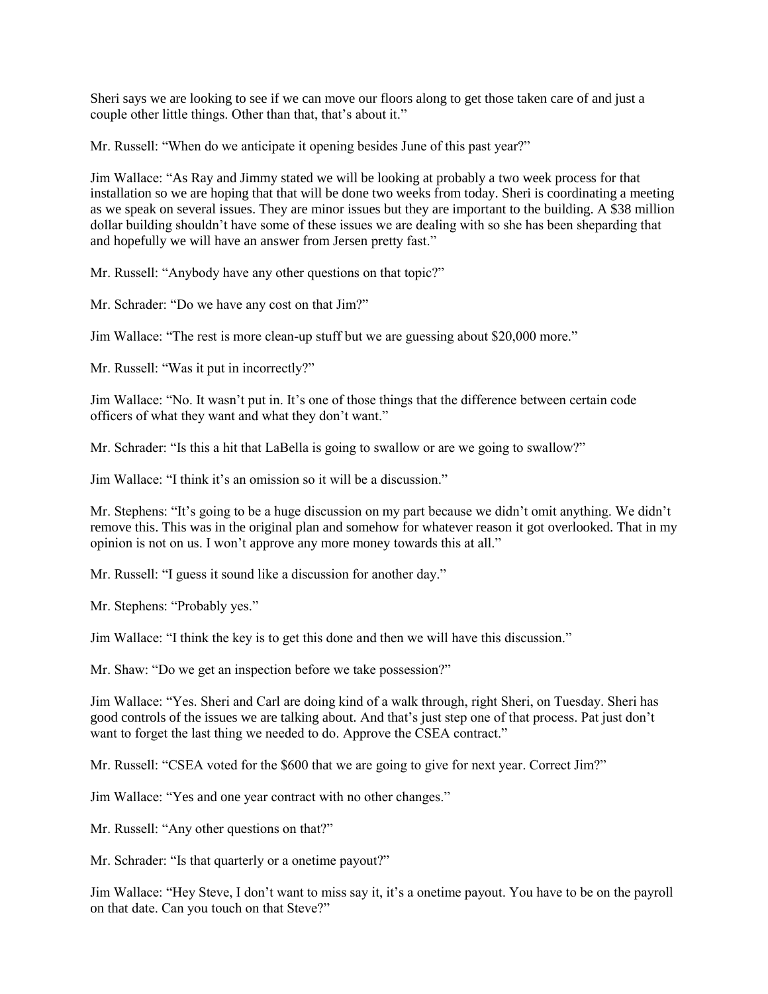Sheri says we are looking to see if we can move our floors along to get those taken care of and just a couple other little things. Other than that, that's about it."

Mr. Russell: "When do we anticipate it opening besides June of this past year?"

Jim Wallace: "As Ray and Jimmy stated we will be looking at probably a two week process for that installation so we are hoping that that will be done two weeks from today. Sheri is coordinating a meeting as we speak on several issues. They are minor issues but they are important to the building. A \$38 million dollar building shouldn't have some of these issues we are dealing with so she has been sheparding that and hopefully we will have an answer from Jersen pretty fast."

Mr. Russell: "Anybody have any other questions on that topic?"

Mr. Schrader: "Do we have any cost on that Jim?"

Jim Wallace: "The rest is more clean-up stuff but we are guessing about \$20,000 more."

Mr. Russell: "Was it put in incorrectly?"

Jim Wallace: "No. It wasn't put in. It's one of those things that the difference between certain code officers of what they want and what they don't want."

Mr. Schrader: "Is this a hit that LaBella is going to swallow or are we going to swallow?"

Jim Wallace: "I think it's an omission so it will be a discussion."

Mr. Stephens: "It's going to be a huge discussion on my part because we didn't omit anything. We didn't remove this. This was in the original plan and somehow for whatever reason it got overlooked. That in my opinion is not on us. I won't approve any more money towards this at all."

Mr. Russell: "I guess it sound like a discussion for another day."

Mr. Stephens: "Probably yes."

Jim Wallace: "I think the key is to get this done and then we will have this discussion."

Mr. Shaw: "Do we get an inspection before we take possession?"

Jim Wallace: "Yes. Sheri and Carl are doing kind of a walk through, right Sheri, on Tuesday. Sheri has good controls of the issues we are talking about. And that's just step one of that process. Pat just don't want to forget the last thing we needed to do. Approve the CSEA contract."

Mr. Russell: "CSEA voted for the \$600 that we are going to give for next year. Correct Jim?"

Jim Wallace: "Yes and one year contract with no other changes."

Mr. Russell: "Any other questions on that?"

Mr. Schrader: "Is that quarterly or a onetime payout?"

Jim Wallace: "Hey Steve, I don't want to miss say it, it's a onetime payout. You have to be on the payroll on that date. Can you touch on that Steve?"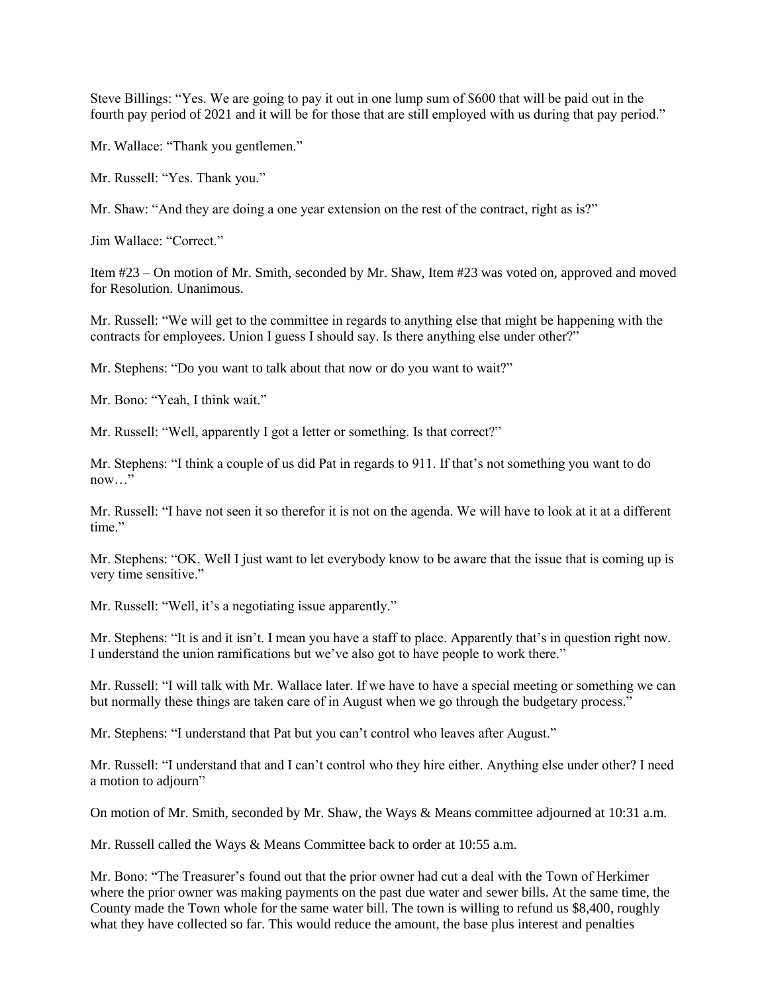Steve Billings: "Yes. We are going to pay it out in one lump sum of \$600 that will be paid out in the fourth pay period of 2021 and it will be for those that are still employed with us during that pay period."

Mr. Wallace: "Thank you gentlemen."

Mr. Russell: "Yes. Thank you."

Mr. Shaw: "And they are doing a one year extension on the rest of the contract, right as is?"

Jim Wallace: "Correct."

Item #23 – On motion of Mr. Smith, seconded by Mr. Shaw, Item #23 was voted on, approved and moved for Resolution. Unanimous.

Mr. Russell: "We will get to the committee in regards to anything else that might be happening with the contracts for employees. Union I guess I should say. Is there anything else under other?"

Mr. Stephens: "Do you want to talk about that now or do you want to wait?"

Mr. Bono: "Yeah, I think wait."

Mr. Russell: "Well, apparently I got a letter or something. Is that correct?"

Mr. Stephens: "I think a couple of us did Pat in regards to 911. If that's not something you want to do now…"

Mr. Russell: "I have not seen it so therefor it is not on the agenda. We will have to look at it at a different time."

Mr. Stephens: "OK. Well I just want to let everybody know to be aware that the issue that is coming up is very time sensitive."

Mr. Russell: "Well, it's a negotiating issue apparently."

Mr. Stephens: "It is and it isn't. I mean you have a staff to place. Apparently that's in question right now. I understand the union ramifications but we've also got to have people to work there."

Mr. Russell: "I will talk with Mr. Wallace later. If we have to have a special meeting or something we can but normally these things are taken care of in August when we go through the budgetary process."

Mr. Stephens: "I understand that Pat but you can't control who leaves after August."

Mr. Russell: "I understand that and I can't control who they hire either. Anything else under other? I need a motion to adjourn"

On motion of Mr. Smith, seconded by Mr. Shaw, the Ways & Means committee adjourned at 10:31 a.m.

Mr. Russell called the Ways & Means Committee back to order at 10:55 a.m.

Mr. Bono: "The Treasurer's found out that the prior owner had cut a deal with the Town of Herkimer where the prior owner was making payments on the past due water and sewer bills. At the same time, the County made the Town whole for the same water bill. The town is willing to refund us \$8,400, roughly what they have collected so far. This would reduce the amount, the base plus interest and penalties